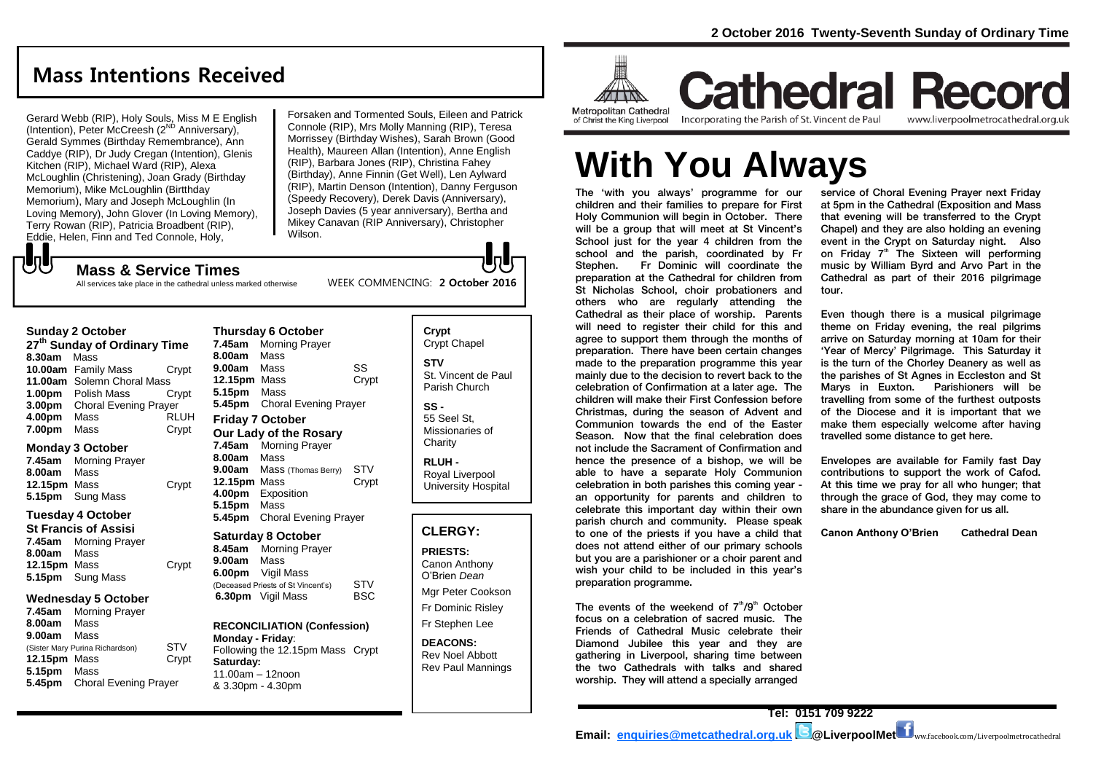# **Mass Intentions Received**

Gerard Webb (RIP), Holy Souls, Miss M E English Colard Webb  $(m, m, m)$  Colar, mee  $m \ge m$ .<br>(Intention), Peter McCreesh ( $2^{ND}$  Anniversary), Gerald Symmes (Birthday Remembrance), Ann Caddye (RIP), Dr Judy Cregan (Intention), Glenis Kitchen (RIP), Michael Ward (RIP), Alexa McLoughlin (Christening), Joan Grady (Birthday Memorium), Mike McLoughlin (Birtthday Memorium), Mary and Joseph McLoughlin (In Loving Memory), John Glover (In Loving Memory), Terry Rowan (RIP), Patricia Broadbent (RIP), Eddie, Helen, Finn and Ted Connole, Holy,

Forsaken and Tormented Souls, Eileen and Patrick Connole (RIP), Mrs Molly Manning (RIP), Teresa Morrissey (Birthday Wishes), Sarah Brown (Good Health), Maureen Allan (Intention), Anne English (RIP), Barbara Jones (RIP), Christina Fahey (Birthday), Anne Finnin (Get Well), Len Aylward (RIP), Martin Denson (Intention), Danny Ferguson (Speedy Recovery), Derek Davis (Anniversary), Joseph Davies (5 year anniversary), Bertha and Mikey Canavan (RIP Anniversary), Christopher Wilson.

WEEK COMMENCING: **2 October 2016**

#### でし **Mass & Service Times**

**Sunday 2 October** 

All services take place in the cathedral unless marked otherwise

#### **Thursday 6 October**

**27th Sunday of Ordinary Time 8.30am** Mass **10.00am** Family Mass Crypt **11.00am** Solemn Choral Mass **1.00pm** Polish Mass Crypt **3.00pm** Choral Evening Prayer **4.00pm** Mass RLUH **7.00pm** Mass Crypt

#### **Monday 3 October**

**7.45am** Morning Prayer **8.00am** Mass **12.15pm** Mass Crypt **5.15pm** Sung Mass

#### **Tuesday 4 October**

**St Francis of Assisi 7.45am** Morning Prayer **8.00am** Mass **12.15pm** Mass **Crypt 5.15pm** Sung Mass

#### **Wednesday 5 October**

**7.45am** Morning Prayer **8.00am** Mass **9.00am** Mass (Sister Mary Purina Richardson) STV **12.15pm** Mass Crypt **5.15pm** Mass **5.45pm** Choral Evening Prayer

**7.45am** Morning Prayer **8.00am** Mass **9.00am** Mass SS **12.15pm** Mass Crypt **5.15pm** Mass **5.45pm** Choral Evening Prayer **Friday 7 October Our Lady of the Rosary 7.45am** Morning Prayer **8.00am** Mass **9.00am** Mass (Thomas Berry) STV **12.15pm** Mass Crypt **4.00pm** Exposition **5.15pm** Mass **5.45pm** Choral Evening Prayer

#### **Saturday 8 October**

**8.45am** Morning Prayer **9.00am** Mass **6.00pm** Vigil Mass (Deceased Priests of St Vincent's) STV<br> **6.30pm** Vigil Mass BSC **6.30pm** Vigil Mass

#### **RECONCILIATION (Confession) Monday - Friday**:

Following the 12.15pm Mass Crypt **Saturday:** 11.00am – 12noon & 3.30pm - 4.30pm

**Crypt**  Crypt Chapel **STV** St. Vincent de Paul Parish Church

**SS -** 55 Seel St, Missionaries of **Charity** 

**RLUH -** Royal Liverpool University Hospital

#### **CLERGY:**

**PRIESTS:** Canon Anthony O'Brien *Dean* Mgr Peter Cookson Fr Dominic Risley

Fr Stephen Lee

**DEACONS:** Rev Noel Abbott Rev Paul Mannings



**Cathedral Record** Incorporating the Parish of St. Vincent de Paul of Christ the King Liverpool

www.liverpoolmetrocathedral.org.uk

# **With You Always**

The 'with you always' programme for our children and their families to prepare for First Holy Communion will begin in October. There will be a group that will meet at St Vincent's School just for the year 4 children from the school and the parish, coordinated by Fr Stephen. Fr Dominic will coordinate the preparation at the Cathedral for children from St Nicholas School, choir probationers and others who are regularly attending the Cathedral as their place of worship. Parents will need to register their child for this and agree to support them through the months of preparation. There have been certain changes made to the preparation programme this year mainly due to the decision to revert back to the celebration of Confirmation at a later age. The children will make their First Confession before Christmas, during the season of Advent and Communion towards the end of the Easter Season. Now that the final celebration does not include the Sacrament of Confirmation and hence the presence of a bishop, we will be able to have a separate Holy Communion celebration in both parishes this coming year an opportunity for parents and children to celebrate this important day within their own parish church and community. Please speak to one of the priests if you have a child that does not attend either of our primary schools but you are a parishioner or a choir parent and wish your child to be included in this year's preparation programme.

The events of the weekend of  $7<sup>th</sup>/9<sup>th</sup>$  October focus on a celebration of sacred music. The Friends of Cathedral Music celebrate their Diamond Jubilee this year and they are gathering in Liverpool, sharing time between the two Cathedrals with talks and shared worship. They will attend a specially arranged

service of Choral Evening Prayer next Friday at 5pm in the Cathedral (Exposition and Mass that evening will be transferred to the Crypt Chapel) and they are also holding an evening event in the Crypt on Saturday night. Also on Friday 7<sup>th</sup> The Sixteen will performing music by William Byrd and Arvo Part in the Cathedral as part of their 2016 pilgrimage tour.

Even though there is a musical pilgrimage theme on Friday evening, the real pilgrims arrive on Saturday morning at 10am for their 'Year of Mercy' Pilgrimage. This Saturday it is the turn of the Chorley Deanery as well as the parishes of St Agnes in Eccleston and St Marys in Euxton. Parishioners will be travelling from some of the furthest outposts of the Diocese and it is important that we make them especially welcome after having travelled some distance to get here.

Envelopes are available for Family fast Day contributions to support the work of Cafod. At this time we pray for all who hunger; that through the grace of God, they may come to share in the abundance given for us all.

**Canon Anthony O'Brien Cathedral Dean**